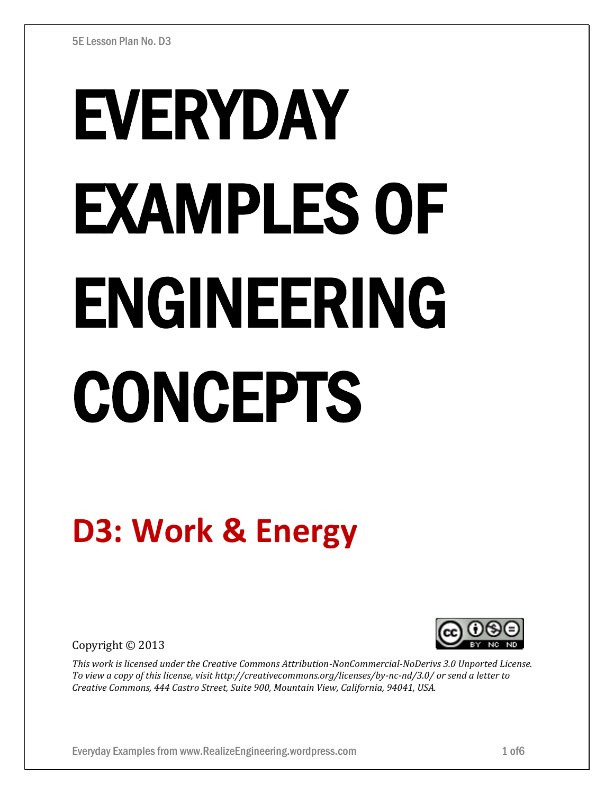# EVERYDAY EXAMPLES OF ENGINEERING CONCEPTS

# **D3: Work & Energy**

Copyright © 2013



*This work is licensed under the Creative Commons Attribution-NonCommercial-NoDerivs 3.0 Unported License. To view a copy of this license, visit http://creativecommons.org/licenses/by-nc-nd/3.0/ or send a letter to Creative Commons, 444 Castro Street, Suite 900, Mountain View, California, 94041, USA.*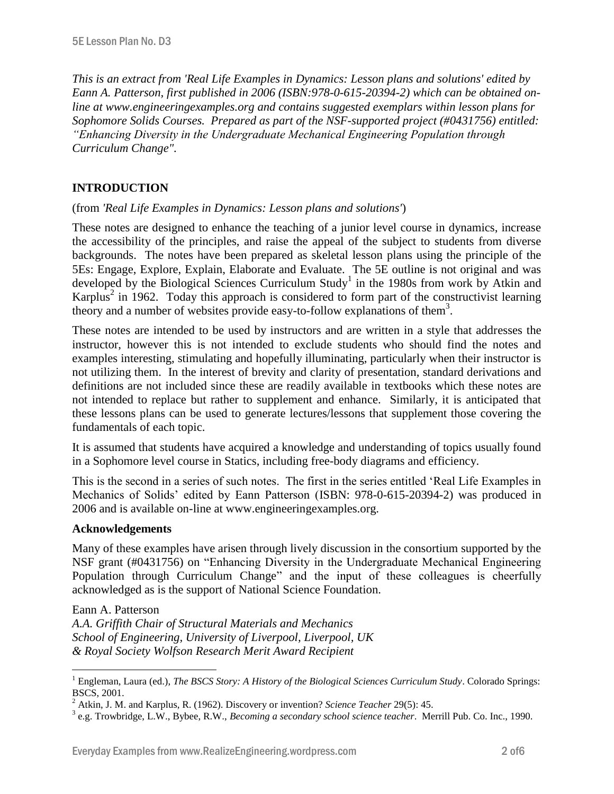*This is an extract from 'Real Life Examples in Dynamics: Lesson plans and solutions' edited by Eann A. Patterson, first published in 2006 (ISBN:978-0-615-20394-2) which can be obtained online at www.engineeringexamples.org and contains suggested exemplars within lesson plans for Sophomore Solids Courses. Prepared as part of the NSF-supported project (#0431756) entitled: "Enhancing Diversity in the Undergraduate Mechanical Engineering Population through Curriculum Change".* 

# **INTRODUCTION**

### (from *'Real Life Examples in Dynamics: Lesson plans and solutions'*)

These notes are designed to enhance the teaching of a junior level course in dynamics, increase the accessibility of the principles, and raise the appeal of the subject to students from diverse backgrounds. The notes have been prepared as skeletal lesson plans using the principle of the 5Es: Engage, Explore, Explain, Elaborate and Evaluate. The 5E outline is not original and was developed by the Biological Sciences Curriculum Study<sup>1</sup> in the 1980s from work by Atkin and Karplus<sup>2</sup> in 1962. Today this approach is considered to form part of the constructivist learning theory and a number of websites provide easy-to-follow explanations of them<sup>3</sup>.

These notes are intended to be used by instructors and are written in a style that addresses the instructor, however this is not intended to exclude students who should find the notes and examples interesting, stimulating and hopefully illuminating, particularly when their instructor is not utilizing them. In the interest of brevity and clarity of presentation, standard derivations and definitions are not included since these are readily available in textbooks which these notes are not intended to replace but rather to supplement and enhance. Similarly, it is anticipated that these lessons plans can be used to generate lectures/lessons that supplement those covering the fundamentals of each topic.

It is assumed that students have acquired a knowledge and understanding of topics usually found in a Sophomore level course in Statics, including free-body diagrams and efficiency.

This is the second in a series of such notes. The first in the series entitled 'Real Life Examples in Mechanics of Solids' edited by Eann Patterson (ISBN: 978-0-615-20394-2) was produced in 2006 and is available on-line at www.engineeringexamples.org.

### **Acknowledgements**

Many of these examples have arisen through lively discussion in the consortium supported by the NSF grant (#0431756) on "Enhancing Diversity in the Undergraduate Mechanical Engineering Population through Curriculum Change" and the input of these colleagues is cheerfully acknowledged as is the support of National Science Foundation.

Eann A. Patterson

 $\overline{a}$ 

*A.A. Griffith Chair of Structural Materials and Mechanics School of Engineering, University of Liverpool, Liverpool, UK & Royal Society Wolfson Research Merit Award Recipient*

<sup>1</sup> Engleman, Laura (ed.), *The BSCS Story: A History of the Biological Sciences Curriculum Study*. Colorado Springs: BSCS, 2001.

<sup>2</sup> Atkin, J. M. and Karplus, R. (1962). Discovery or invention? *Science Teacher* 29(5): 45.

<sup>3</sup> e.g. Trowbridge, L.W., Bybee, R.W., *Becoming a secondary school science teacher*. Merrill Pub. Co. Inc., 1990.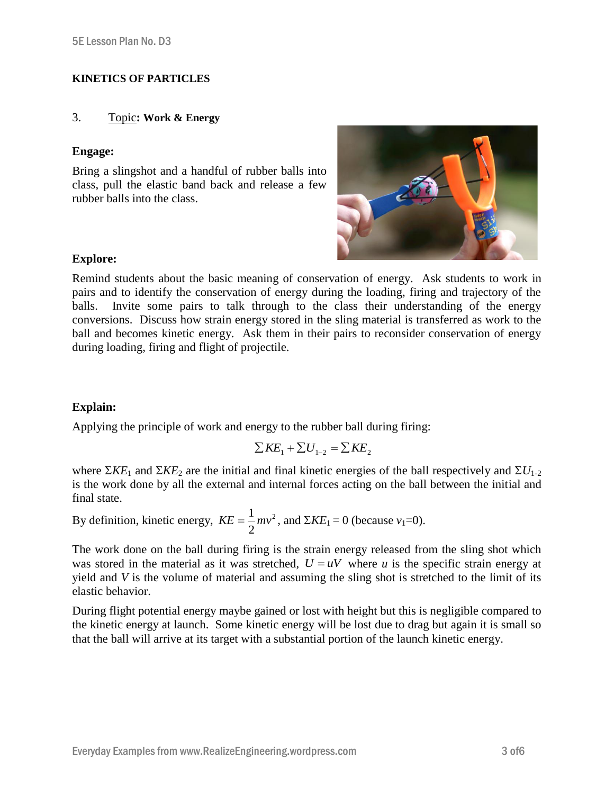### **KINETICS OF PARTICLES**

### 3. Topic**: Work & Energy**

### **Engage:**

Bring a slingshot and a handful of rubber balls into class, pull the elastic band back and release a few rubber balls into the class.



### **Explore:**

Remind students about the basic meaning of conservation of energy. Ask students to work in pairs and to identify the conservation of energy during the loading, firing and trajectory of the balls. Invite some pairs to talk through to the class their understanding of the energy conversions. Discuss how strain energy stored in the sling material is transferred as work to the ball and becomes kinetic energy. Ask them in their pairs to reconsider conservation of energy during loading, firing and flight of projectile.

## **Explain:**

Applying the principle of work and energy to the rubber ball during firing:

$$
\sum KE_1 + \sum U_{1-2} = \sum KE_2
$$

where  $\Sigma KE_1$  and  $\Sigma KE_2$  are the initial and final kinetic energies of the ball respectively and  $\Sigma U_{1-2}$ is the work done by all the external and internal forces acting on the ball between the initial and final state.

By definition, kinetic energy,  $KE = \frac{1}{2}mv^2$ 2  $KE = \frac{1}{2}mv^2$ , and  $\Sigma KE_1 = 0$  (because  $v_1 = 0$ ).

The work done on the ball during firing is the strain energy released from the sling shot which was stored in the material as it was stretched,  $U = uV$  where *u* is the specific strain energy at yield and *V* is the volume of material and assuming the sling shot is stretched to the limit of its elastic behavior.

During flight potential energy maybe gained or lost with height but this is negligible compared to the kinetic energy at launch. Some kinetic energy will be lost due to drag but again it is small so that the ball will arrive at its target with a substantial portion of the launch kinetic energy.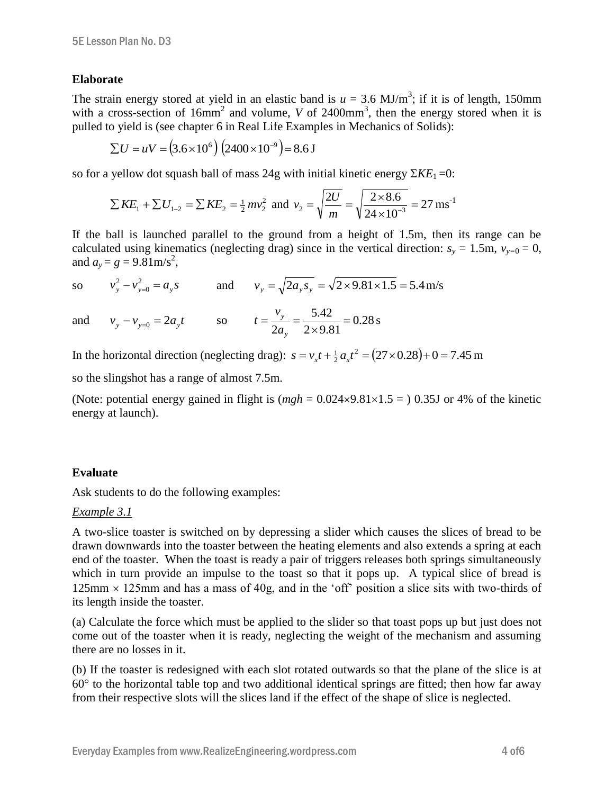### **Elaborate**

The strain energy stored at yield in an elastic band is  $u = 3.6$  MJ/m<sup>3</sup>; if it is of length, 150mm with a cross-section of  $16mm^2$  and volume, *V* of  $2400mm^3$ , then the energy stored when it is pulled to yield is (see chapter 6 in Real Life Examples in Mechanics of Solids):

$$
\Sigma U = uV = (3.6 \times 10^6) (2400 \times 10^{-9}) = 8.6 \text{ J}
$$

so for a yellow dot squash ball of mass  $24g$  with initial kinetic energy  $\Sigma KE_1 = 0$ :

$$
\sum KE_1 + \sum U_{1-2} = \sum KE_2 = \frac{1}{2}mv_2^2
$$
 and  $v_2 = \sqrt{\frac{2U}{m}} = \sqrt{\frac{2 \times 8.6}{24 \times 10^{-3}}} = 27 \text{ ms}^{-1}$ 

If the ball is launched parallel to the ground from a height of 1.5m, then its range can be calculated using kinematics (neglecting drag) since in the vertical direction:  $s_y = 1.5$ m,  $v_{y=0} = 0$ , and  $a_y = g = 9.81 \text{ m/s}^2$ ,

so 
$$
v_y^2 - v_{y=0}^2 = a_y s
$$
 and  $v_y = \sqrt{2a_y s_y} = \sqrt{2 \times 9.81 \times 1.5} = 5.4$  m/s

and 
$$
v_y - v_{y=0} = 2a_y t
$$
 so  $t = \frac{v_y}{2a_y} = \frac{5.42}{2 \times 9.81} = 0.28 \text{ s}$ 

In the horizontal direction (neglecting drag):  $s = v_x t + \frac{1}{2} a_x t^2 = (27 \times 0.28) + 0 = 7.45$  m

so the slingshot has a range of almost 7.5m.

(Note: potential energy gained in flight is  $(mgh = 0.024 \times 9.81 \times 1.5 = 0.035$  or 4% of the kinetic energy at launch).

### **Evaluate**

Ask students to do the following examples:

### *Example 3.1*

A two-slice toaster is switched on by depressing a slider which causes the slices of bread to be drawn downwards into the toaster between the heating elements and also extends a spring at each end of the toaster. When the toast is ready a pair of triggers releases both springs simultaneously which in turn provide an impulse to the toast so that it pops up. A typical slice of bread is  $125 \text{mm} \times 125 \text{mm}$  and has a mass of 40g, and in the 'off' position a slice sits with two-thirds of its length inside the toaster.

(a) Calculate the force which must be applied to the slider so that toast pops up but just does not come out of the toaster when it is ready, neglecting the weight of the mechanism and assuming there are no losses in it.

(b) If the toaster is redesigned with each slot rotated outwards so that the plane of the slice is at  $60^{\circ}$  to the horizontal table top and two additional identical springs are fitted; then how far away from their respective slots will the slices land if the effect of the shape of slice is neglected.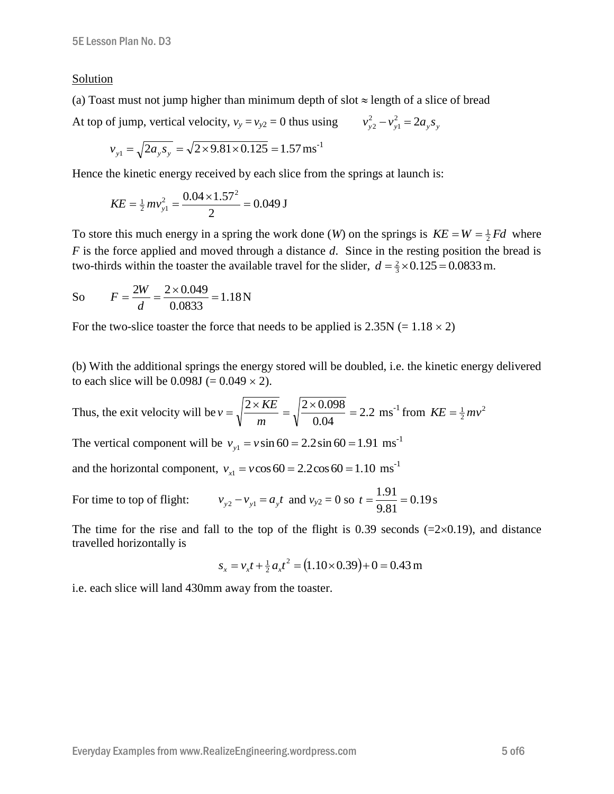### Solution

(a) Toast must not jump higher than minimum depth of slot  $\approx$  length of a slice of bread

At top of jump, vertical velocity,  $v_y = v_{y2} = 0$  thus using  $v_{y2}^2 - v_{y1}^2 = 2a_y s_y$ 1  $v_{y2}^2 - v_{y1}^2 =$ 

$$
v_{y1} = \sqrt{2a_y s_y} = \sqrt{2 \times 9.81 \times 0.125} = 1.57 \,\text{ms}^{-1}
$$

Hence the kinetic energy received by each slice from the springs at launch is:

$$
KE = \frac{1}{2} m v_{y1}^2 = \frac{0.04 \times 1.57^2}{2} = 0.049 \text{ J}
$$

To store this much energy in a spring the work done (*W*) on the springs is  $KE = W = \frac{1}{2} Fd$  where *F* is the force applied and moved through a distance *d*. Since in the resting position the bread is two-thirds within the toaster the available travel for the slider,  $d = \frac{2}{3} \times 0.125 = 0.0833$  m.

So 
$$
F = \frac{2W}{d} = \frac{2 \times 0.049}{0.0833} = 1.18 \text{ N}
$$

For the two-slice toaster the force that needs to be applied is  $2.35N (= 1.18 \times 2)$ 

(b) With the additional springs the energy stored will be doubled, i.e. the kinetic energy delivered to each slice will be  $0.098J = 0.049 \times 2$ .

Thus, the exit velocity will be  $v = \sqrt{\frac{2 \times \text{AL}}{c}} = \sqrt{\frac{2 \times 0.096}{c}} = 2.2$ 0.04  $=\sqrt{\frac{2 \times KE}{2 \times 0.098}} = \sqrt{\frac{2 \times 0.098}{2 \times 0.098}} =$ *m*  $v = \sqrt{\frac{2 \times KE}{m}} = \sqrt{\frac{2 \times 0.098}{0.04}} = 2.2 \text{ ms}^{-1} \text{ from } KE = \frac{1}{2} m v^2$ 

The vertical component will be  $v_{y1} = v \sin 60 = 2.2 \sin 60 = 1.91 \text{ ms}^{-1}$ 

and the horizontal component,  $v_{x1} = v \cos 60 = 2.2 \cos 60 = 1.10 \text{ ms}^{-1}$ 

For time to top of flight:  $v_{y2} - v_{y1} = a_y t$  and  $v_{y2} = 0$  so  $t = \frac{1.91}{0.81} = 0.19$ 9.81  $t = \frac{1.91}{3.81} = 0.19$  s

The time for the rise and fall to the top of the flight is 0.39 seconds  $(=2\times0.19)$ , and distance travelled horizontally is

$$
s_x = v_x t + \frac{1}{2} a_x t^2 = (1.10 \times 0.39) + 0 = 0.43 \text{ m}
$$

i.e. each slice will land 430mm away from the toaster.